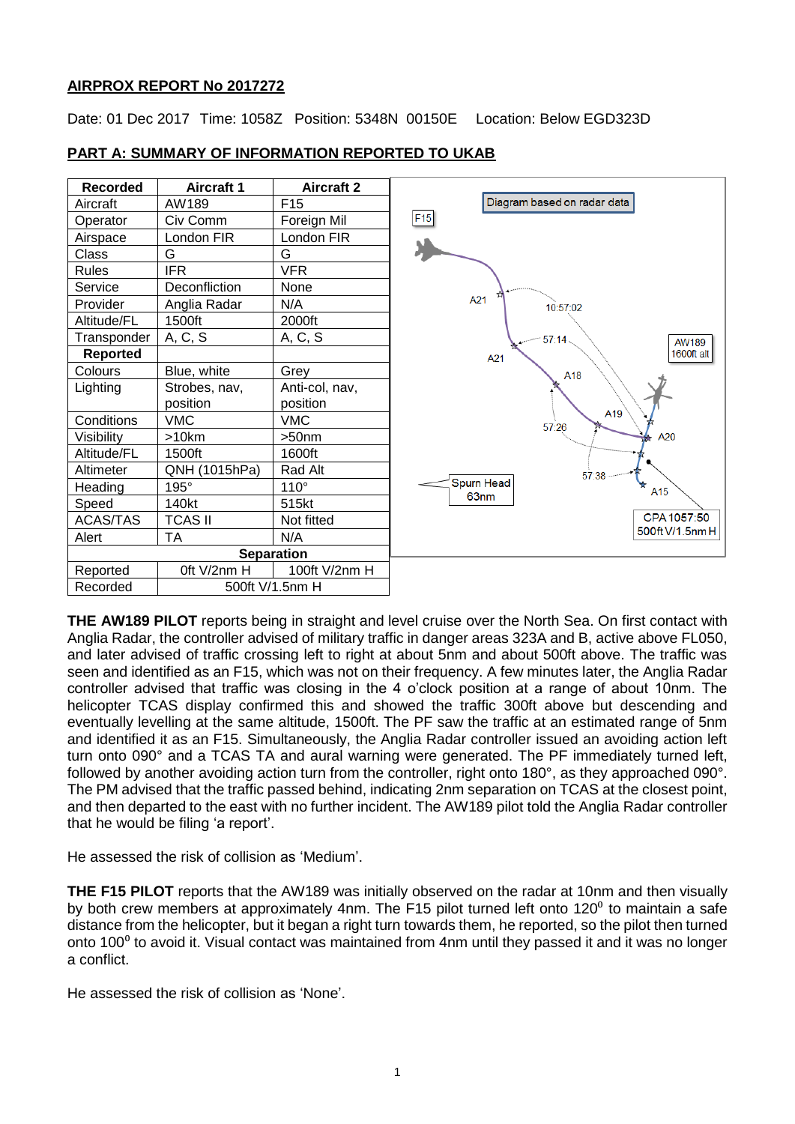## **AIRPROX REPORT No 2017272**

Date: 01 Dec 2017 Time: 1058Z Position: 5348N 00150E Location: Below EGD323D

| <b>Recorded</b>   | <b>Aircraft 1</b> | <b>Aircraft 2</b> |                                              |
|-------------------|-------------------|-------------------|----------------------------------------------|
| Aircraft          | AW189             | F <sub>15</sub>   | Diagram based on radar data                  |
| Operator          | Civ Comm          | Foreign Mil       | F15                                          |
| Airspace          | London FIR        | London FIR        |                                              |
| Class             | G                 | G                 |                                              |
| <b>Rules</b>      | <b>IFR</b>        | <b>VFR</b>        |                                              |
| Service           | Deconfliction     | None              |                                              |
| Provider          | Anglia Radar      | N/A               | A21<br>10:57:02                              |
| Altitude/FL       | 1500ft            | 2000ft            |                                              |
| Transponder       | A, C, S           | A, C, S           | 57:14.<br><b>AW189</b>                       |
| <b>Reported</b>   |                   |                   | 1600ft alt<br>A21                            |
| Colours           | Blue, white       | Grey              | A18                                          |
| Lighting          | Strobes, nav,     | Anti-col, nav,    |                                              |
|                   | position          | position          | A19                                          |
| Conditions        | <b>VMC</b>        | <b>VMC</b>        | 57:26                                        |
| Visibility        | >10km             | >50 <sub>nm</sub> | A20                                          |
| Altitude/FL       | 1500ft            | 1600ft            |                                              |
| Altimeter         | QNH (1015hPa)     | Rad Alt           | 57:38                                        |
| Heading           | 195°              | 110°              | <b>Spurn Head</b><br>A <sub>15</sub><br>63nm |
| Speed             | 140kt             | 515kt             |                                              |
| <b>ACAS/TAS</b>   | <b>TCAS II</b>    | Not fitted        | CPA 1057:50                                  |
| Alert             | <b>TA</b>         | N/A               | 500ft V/1.5nm H                              |
| <b>Separation</b> |                   |                   |                                              |
| Reported          | Oft V/2nm H       | 100ft V/2nm H     |                                              |
| Recorded          | 500ft V/1.5nm H   |                   |                                              |

## **PART A: SUMMARY OF INFORMATION REPORTED TO UKAB**

**THE AW189 PILOT** reports being in straight and level cruise over the North Sea. On first contact with Anglia Radar, the controller advised of military traffic in danger areas 323A and B, active above FL050, and later advised of traffic crossing left to right at about 5nm and about 500ft above. The traffic was seen and identified as an F15, which was not on their frequency. A few minutes later, the Anglia Radar controller advised that traffic was closing in the 4 o'clock position at a range of about 10nm. The helicopter TCAS display confirmed this and showed the traffic 300ft above but descending and eventually levelling at the same altitude, 1500ft. The PF saw the traffic at an estimated range of 5nm and identified it as an F15. Simultaneously, the Anglia Radar controller issued an avoiding action left turn onto 090° and a TCAS TA and aural warning were generated. The PF immediately turned left, followed by another avoiding action turn from the controller, right onto 180°, as they approached 090°. The PM advised that the traffic passed behind, indicating 2nm separation on TCAS at the closest point, and then departed to the east with no further incident. The AW189 pilot told the Anglia Radar controller that he would be filing 'a report'.

He assessed the risk of collision as 'Medium'.

**THE F15 PILOT** reports that the AW189 was initially observed on the radar at 10nm and then visually by both crew members at approximately 4nm. The F15 pilot turned left onto 120<sup>0</sup> to maintain a safe distance from the helicopter, but it began a right turn towards them, he reported, so the pilot then turned onto 100<sup>0</sup> to avoid it. Visual contact was maintained from 4nm until they passed it and it was no longer a conflict.

He assessed the risk of collision as 'None'.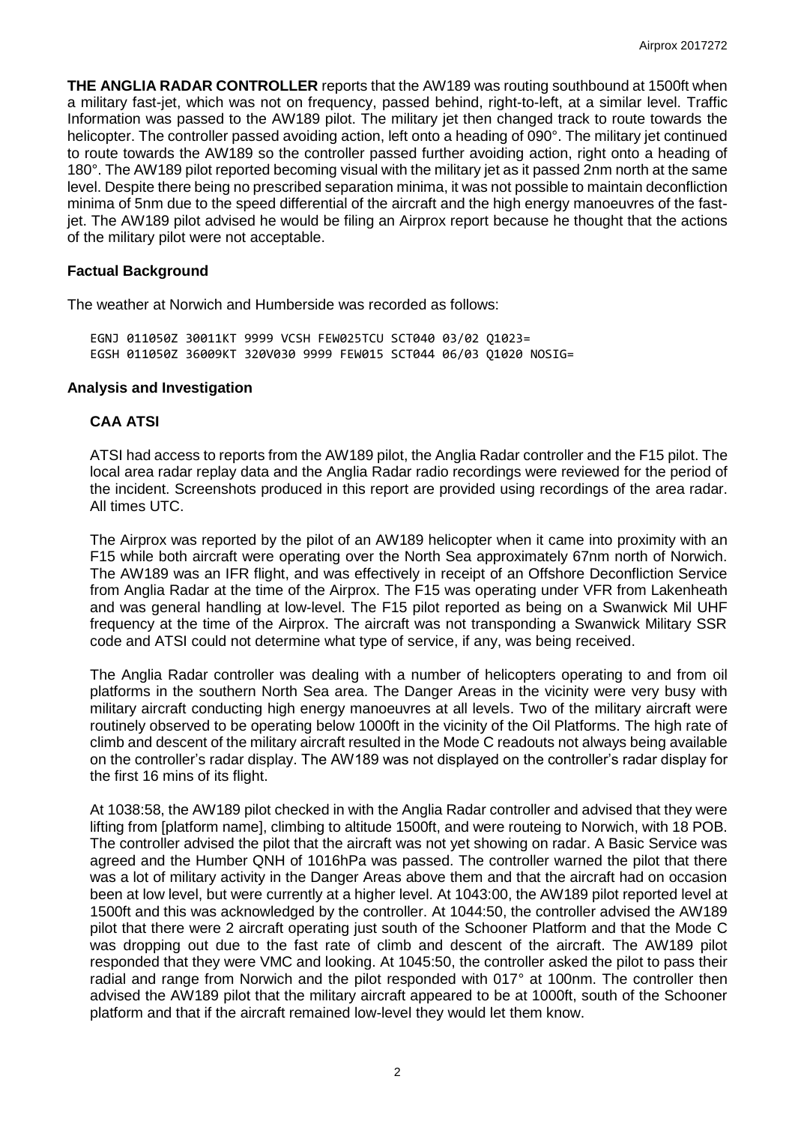**THE ANGLIA RADAR CONTROLLER** reports that the AW189 was routing southbound at 1500ft when a military fast-jet, which was not on frequency, passed behind, right-to-left, at a similar level. Traffic Information was passed to the AW189 pilot. The military jet then changed track to route towards the helicopter. The controller passed avoiding action, left onto a heading of 090°. The military jet continued to route towards the AW189 so the controller passed further avoiding action, right onto a heading of 180°. The AW189 pilot reported becoming visual with the military jet as it passed 2nm north at the same level. Despite there being no prescribed separation minima, it was not possible to maintain deconfliction minima of 5nm due to the speed differential of the aircraft and the high energy manoeuvres of the fastjet. The AW189 pilot advised he would be filing an Airprox report because he thought that the actions of the military pilot were not acceptable.

### **Factual Background**

The weather at Norwich and Humberside was recorded as follows:

EGNJ 011050Z 30011KT 9999 VCSH FEW025TCU SCT040 03/02 Q1023= EGSH 011050Z 36009KT 320V030 9999 FEW015 SCT044 06/03 Q1020 NOSIG=

#### **Analysis and Investigation**

### **CAA ATSI**

ATSI had access to reports from the AW189 pilot, the Anglia Radar controller and the F15 pilot. The local area radar replay data and the Anglia Radar radio recordings were reviewed for the period of the incident. Screenshots produced in this report are provided using recordings of the area radar. All times UTC.

The Airprox was reported by the pilot of an AW189 helicopter when it came into proximity with an F15 while both aircraft were operating over the North Sea approximately 67nm north of Norwich. The AW189 was an IFR flight, and was effectively in receipt of an Offshore Deconfliction Service from Anglia Radar at the time of the Airprox. The F15 was operating under VFR from Lakenheath and was general handling at low-level. The F15 pilot reported as being on a Swanwick Mil UHF frequency at the time of the Airprox. The aircraft was not transponding a Swanwick Military SSR code and ATSI could not determine what type of service, if any, was being received.

The Anglia Radar controller was dealing with a number of helicopters operating to and from oil platforms in the southern North Sea area. The Danger Areas in the vicinity were very busy with military aircraft conducting high energy manoeuvres at all levels. Two of the military aircraft were routinely observed to be operating below 1000ft in the vicinity of the Oil Platforms. The high rate of climb and descent of the military aircraft resulted in the Mode C readouts not always being available on the controller's radar display. The AW189 was not displayed on the controller's radar display for the first 16 mins of its flight.

At 1038:58, the AW189 pilot checked in with the Anglia Radar controller and advised that they were lifting from [platform name], climbing to altitude 1500ft, and were routeing to Norwich, with 18 POB. The controller advised the pilot that the aircraft was not yet showing on radar. A Basic Service was agreed and the Humber QNH of 1016hPa was passed. The controller warned the pilot that there was a lot of military activity in the Danger Areas above them and that the aircraft had on occasion been at low level, but were currently at a higher level. At 1043:00, the AW189 pilot reported level at 1500ft and this was acknowledged by the controller. At 1044:50, the controller advised the AW189 pilot that there were 2 aircraft operating just south of the Schooner Platform and that the Mode C was dropping out due to the fast rate of climb and descent of the aircraft. The AW189 pilot responded that they were VMC and looking. At 1045:50, the controller asked the pilot to pass their radial and range from Norwich and the pilot responded with 017° at 100nm. The controller then advised the AW189 pilot that the military aircraft appeared to be at 1000ft, south of the Schooner platform and that if the aircraft remained low-level they would let them know.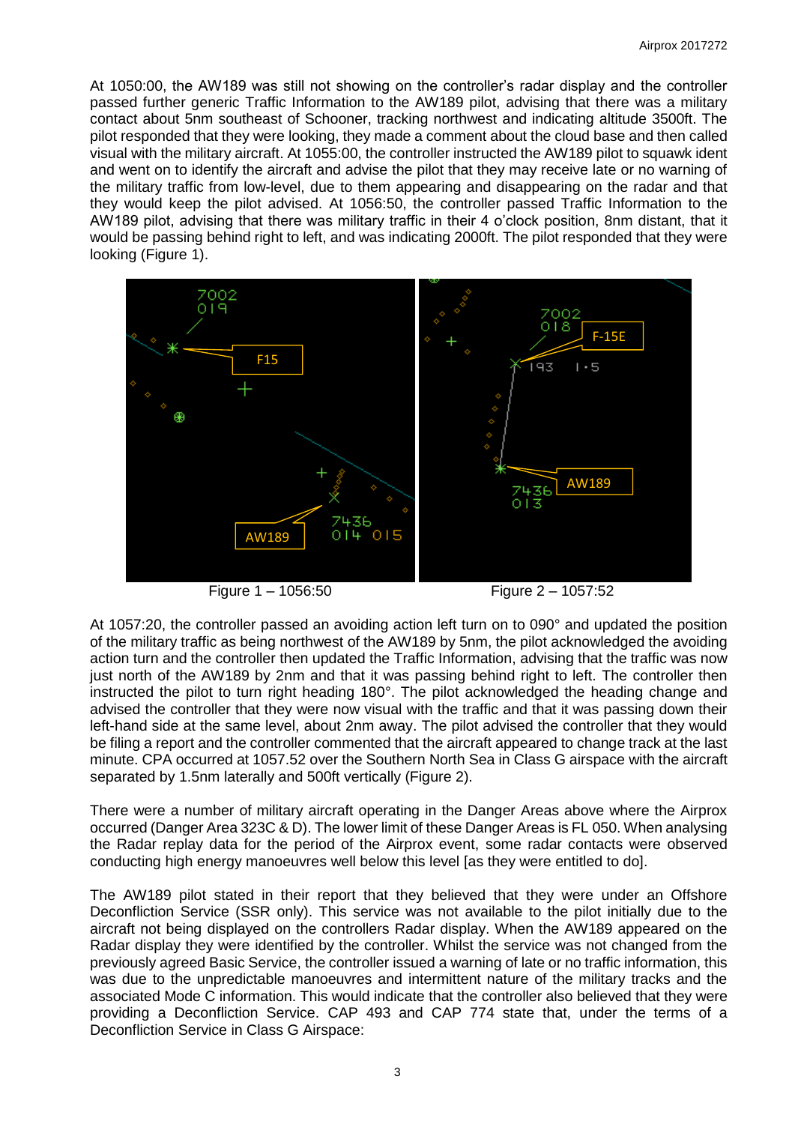At 1050:00, the AW189 was still not showing on the controller's radar display and the controller passed further generic Traffic Information to the AW189 pilot, advising that there was a military contact about 5nm southeast of Schooner, tracking northwest and indicating altitude 3500ft. The pilot responded that they were looking, they made a comment about the cloud base and then called visual with the military aircraft. At 1055:00, the controller instructed the AW189 pilot to squawk ident and went on to identify the aircraft and advise the pilot that they may receive late or no warning of the military traffic from low-level, due to them appearing and disappearing on the radar and that they would keep the pilot advised. At 1056:50, the controller passed Traffic Information to the AW189 pilot, advising that there was military traffic in their 4 o'clock position, 8nm distant, that it would be passing behind right to left, and was indicating 2000ft. The pilot responded that they were looking (Figure 1).



Figure 1 – 1056:50 Figure 2 – 1057:52

At 1057:20, the controller passed an avoiding action left turn on to 090° and updated the position of the military traffic as being northwest of the AW189 by 5nm, the pilot acknowledged the avoiding action turn and the controller then updated the Traffic Information, advising that the traffic was now just north of the AW189 by 2nm and that it was passing behind right to left. The controller then instructed the pilot to turn right heading 180°. The pilot acknowledged the heading change and advised the controller that they were now visual with the traffic and that it was passing down their left-hand side at the same level, about 2nm away. The pilot advised the controller that they would be filing a report and the controller commented that the aircraft appeared to change track at the last minute. CPA occurred at 1057.52 over the Southern North Sea in Class G airspace with the aircraft separated by 1.5nm laterally and 500ft vertically (Figure 2).

There were a number of military aircraft operating in the Danger Areas above where the Airprox occurred (Danger Area 323C & D). The lower limit of these Danger Areas is FL 050. When analysing the Radar replay data for the period of the Airprox event, some radar contacts were observed conducting high energy manoeuvres well below this level [as they were entitled to do].

The AW189 pilot stated in their report that they believed that they were under an Offshore Deconfliction Service (SSR only). This service was not available to the pilot initially due to the aircraft not being displayed on the controllers Radar display. When the AW189 appeared on the Radar display they were identified by the controller. Whilst the service was not changed from the previously agreed Basic Service, the controller issued a warning of late or no traffic information, this was due to the unpredictable manoeuvres and intermittent nature of the military tracks and the associated Mode C information. This would indicate that the controller also believed that they were providing a Deconfliction Service. CAP 493 and CAP 774 state that, under the terms of a Deconfliction Service in Class G Airspace: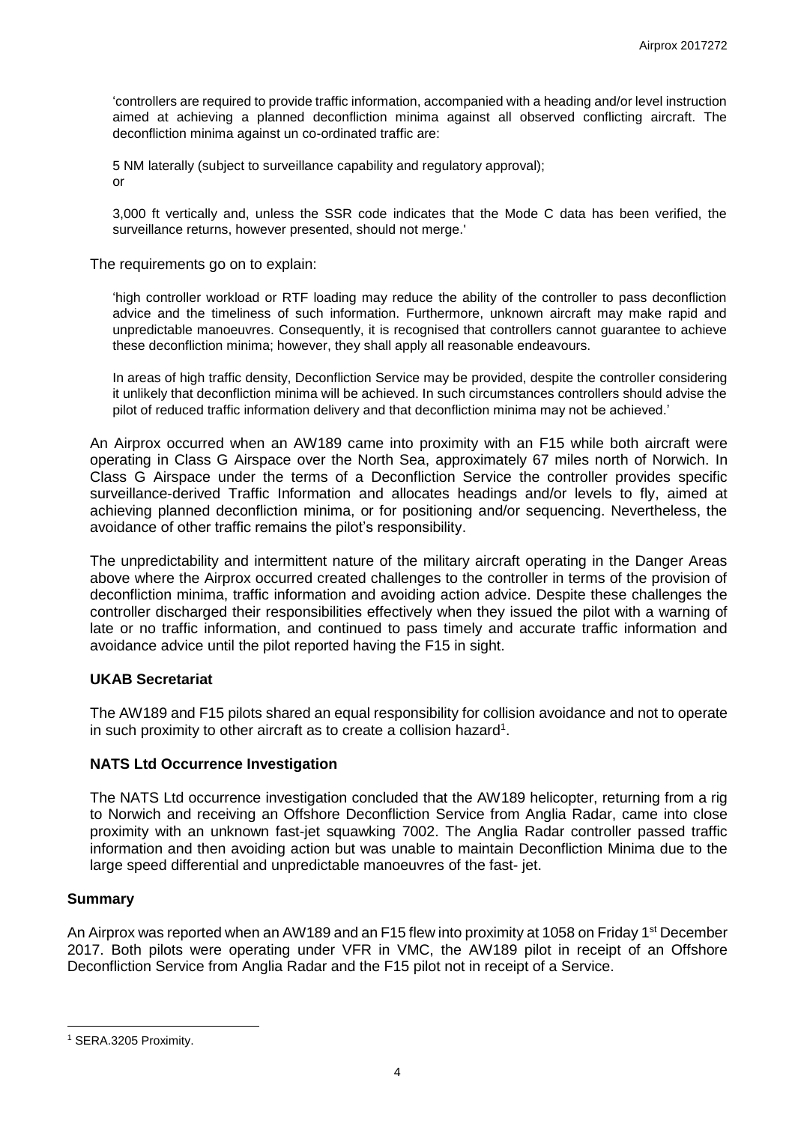'controllers are required to provide traffic information, accompanied with a heading and/or level instruction aimed at achieving a planned deconfliction minima against all observed conflicting aircraft. The deconfliction minima against un co-ordinated traffic are:

5 NM laterally (subject to surveillance capability and regulatory approval); or

3,000 ft vertically and, unless the SSR code indicates that the Mode C data has been verified, the surveillance returns, however presented, should not merge.'

The requirements go on to explain:

'high controller workload or RTF loading may reduce the ability of the controller to pass deconfliction advice and the timeliness of such information. Furthermore, unknown aircraft may make rapid and unpredictable manoeuvres. Consequently, it is recognised that controllers cannot guarantee to achieve these deconfliction minima; however, they shall apply all reasonable endeavours.

In areas of high traffic density, Deconfliction Service may be provided, despite the controller considering it unlikely that deconfliction minima will be achieved. In such circumstances controllers should advise the pilot of reduced traffic information delivery and that deconfliction minima may not be achieved.'

An Airprox occurred when an AW189 came into proximity with an F15 while both aircraft were operating in Class G Airspace over the North Sea, approximately 67 miles north of Norwich. In Class G Airspace under the terms of a Deconfliction Service the controller provides specific surveillance-derived Traffic Information and allocates headings and/or levels to fly, aimed at achieving planned deconfliction minima, or for positioning and/or sequencing. Nevertheless, the avoidance of other traffic remains the pilot's responsibility.

The unpredictability and intermittent nature of the military aircraft operating in the Danger Areas above where the Airprox occurred created challenges to the controller in terms of the provision of deconfliction minima, traffic information and avoiding action advice. Despite these challenges the controller discharged their responsibilities effectively when they issued the pilot with a warning of late or no traffic information, and continued to pass timely and accurate traffic information and avoidance advice until the pilot reported having the F15 in sight.

# **UKAB Secretariat**

The AW189 and F15 pilots shared an equal responsibility for collision avoidance and not to operate in such proximity to other aircraft as to create a collision hazard<sup>1</sup>.

#### **NATS Ltd Occurrence Investigation**

The NATS Ltd occurrence investigation concluded that the AW189 helicopter, returning from a rig to Norwich and receiving an Offshore Deconfliction Service from Anglia Radar, came into close proximity with an unknown fast-jet squawking 7002. The Anglia Radar controller passed traffic information and then avoiding action but was unable to maintain Deconfliction Minima due to the large speed differential and unpredictable manoeuvres of the fast- jet.

#### **Summary**

l

An Airprox was reported when an AW189 and an F15 flew into proximity at 1058 on Friday 1<sup>st</sup> December 2017. Both pilots were operating under VFR in VMC, the AW189 pilot in receipt of an Offshore Deconfliction Service from Anglia Radar and the F15 pilot not in receipt of a Service.

<sup>1</sup> SERA.3205 Proximity.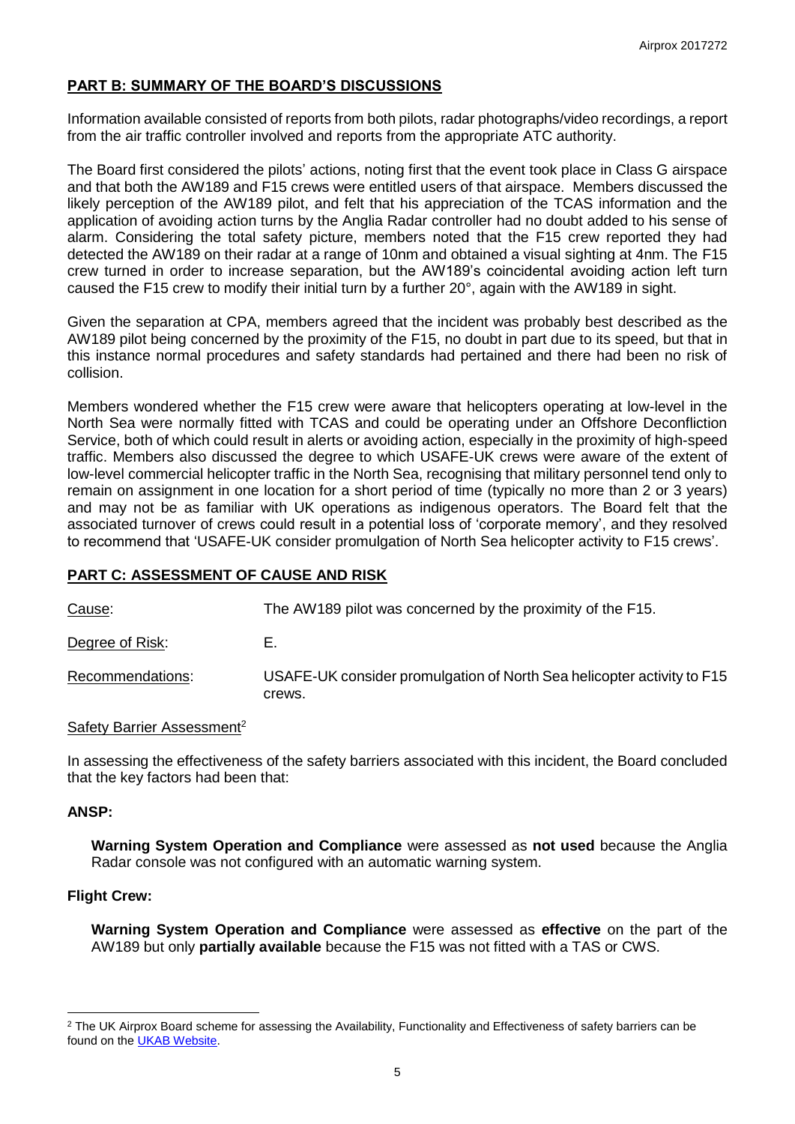# **PART B: SUMMARY OF THE BOARD'S DISCUSSIONS**

Information available consisted of reports from both pilots, radar photographs/video recordings, a report from the air traffic controller involved and reports from the appropriate ATC authority.

The Board first considered the pilots' actions, noting first that the event took place in Class G airspace and that both the AW189 and F15 crews were entitled users of that airspace. Members discussed the likely perception of the AW189 pilot, and felt that his appreciation of the TCAS information and the application of avoiding action turns by the Anglia Radar controller had no doubt added to his sense of alarm. Considering the total safety picture, members noted that the F15 crew reported they had detected the AW189 on their radar at a range of 10nm and obtained a visual sighting at 4nm. The F15 crew turned in order to increase separation, but the AW189's coincidental avoiding action left turn caused the F15 crew to modify their initial turn by a further 20°, again with the AW189 in sight.

Given the separation at CPA, members agreed that the incident was probably best described as the AW189 pilot being concerned by the proximity of the F15, no doubt in part due to its speed, but that in this instance normal procedures and safety standards had pertained and there had been no risk of collision.

Members wondered whether the F15 crew were aware that helicopters operating at low-level in the North Sea were normally fitted with TCAS and could be operating under an Offshore Deconfliction Service, both of which could result in alerts or avoiding action, especially in the proximity of high-speed traffic. Members also discussed the degree to which USAFE-UK crews were aware of the extent of low-level commercial helicopter traffic in the North Sea, recognising that military personnel tend only to remain on assignment in one location for a short period of time (typically no more than 2 or 3 years) and may not be as familiar with UK operations as indigenous operators. The Board felt that the associated turnover of crews could result in a potential loss of 'corporate memory', and they resolved to recommend that 'USAFE-UK consider promulgation of North Sea helicopter activity to F15 crews'.

# **PART C: ASSESSMENT OF CAUSE AND RISK**

Cause: The AW189 pilot was concerned by the proximity of the F15.

Degree of Risk: E.

Recommendations: USAFE-UK consider promulgation of North Sea helicopter activity to F15 crews.

#### Safety Barrier Assessment<sup>2</sup>

In assessing the effectiveness of the safety barriers associated with this incident, the Board concluded that the key factors had been that:

### **ANSP:**

 $\overline{\phantom{a}}$ 

**Warning System Operation and Compliance** were assessed as **not used** because the Anglia Radar console was not configured with an automatic warning system.

#### **Flight Crew:**

**Warning System Operation and Compliance** were assessed as **effective** on the part of the AW189 but only **partially available** because the F15 was not fitted with a TAS or CWS.

<sup>&</sup>lt;sup>2</sup> The UK Airprox Board scheme for assessing the Availability, Functionality and Effectiveness of safety barriers can be found on the **UKAB Website**.